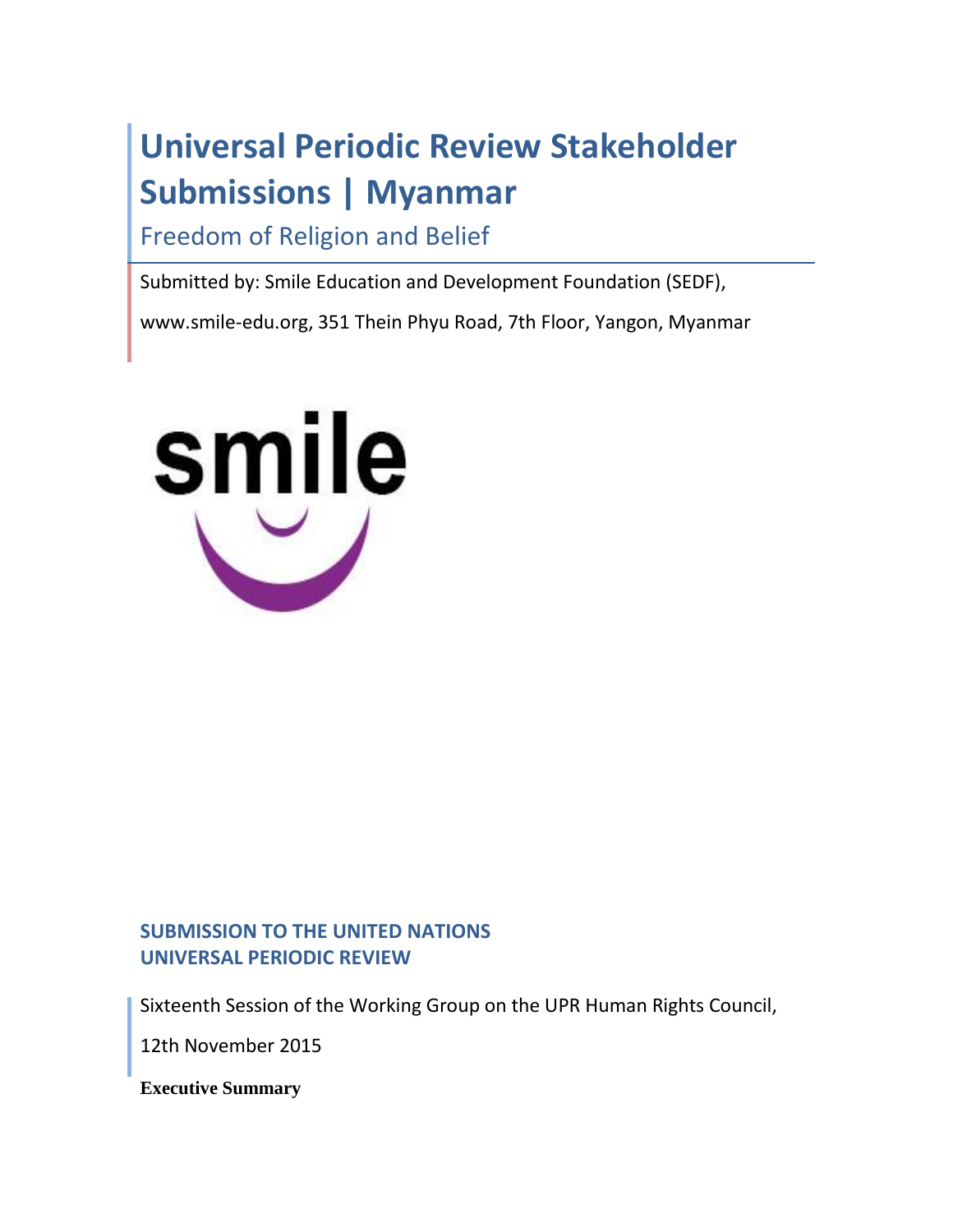# **Universal Periodic Review Stakeholder Submissions | Myanmar**

Freedom of Religion and Belief

Submitted by: Smile Education and Development Foundation (SEDF),

www.smile-edu.org, 351 Thein Phyu Road, 7th Floor, Yangon, Myanmar



# **SUBMISSION TO THE UNITED NATIONS UNIVERSAL PERIODIC REVIEW**

Sixteenth Session of the Working Group on the UPR Human Rights Council,

12th November 2015

**Executive Summary**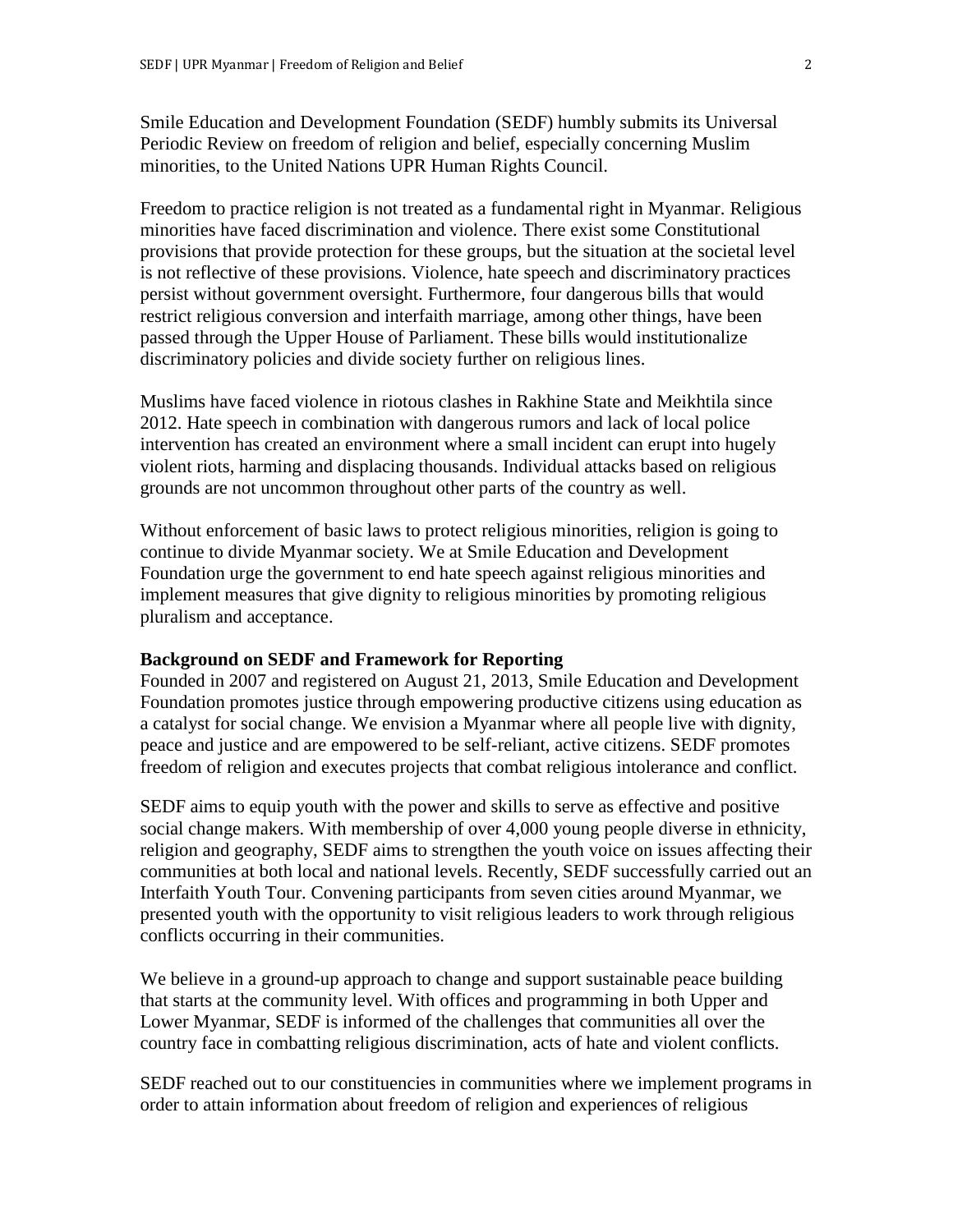Smile Education and Development Foundation (SEDF) humbly submits its Universal Periodic Review on freedom of religion and belief, especially concerning Muslim minorities, to the United Nations UPR Human Rights Council.

Freedom to practice religion is not treated as a fundamental right in Myanmar. Religious minorities have faced discrimination and violence. There exist some Constitutional provisions that provide protection for these groups, but the situation at the societal level is not reflective of these provisions. Violence, hate speech and discriminatory practices persist without government oversight. Furthermore, four dangerous bills that would restrict religious conversion and interfaith marriage, among other things, have been passed through the Upper House of Parliament. These bills would institutionalize discriminatory policies and divide society further on religious lines.

Muslims have faced violence in riotous clashes in Rakhine State and Meikhtila since 2012. Hate speech in combination with dangerous rumors and lack of local police intervention has created an environment where a small incident can erupt into hugely violent riots, harming and displacing thousands. Individual attacks based on religious grounds are not uncommon throughout other parts of the country as well.

Without enforcement of basic laws to protect religious minorities, religion is going to continue to divide Myanmar society. We at Smile Education and Development Foundation urge the government to end hate speech against religious minorities and implement measures that give dignity to religious minorities by promoting religious pluralism and acceptance.

# **Background on SEDF and Framework for Reporting**

Founded in 2007 and registered on August 21, 2013, Smile Education and Development Foundation promotes justice through empowering productive citizens using education as a catalyst for social change. We envision a Myanmar where all people live with dignity, peace and justice and are empowered to be self-reliant, active citizens. SEDF promotes freedom of religion and executes projects that combat religious intolerance and conflict.

SEDF aims to equip youth with the power and skills to serve as effective and positive social change makers. With membership of over 4,000 young people diverse in ethnicity, religion and geography, SEDF aims to strengthen the youth voice on issues affecting their communities at both local and national levels. Recently, SEDF successfully carried out an Interfaith Youth Tour. Convening participants from seven cities around Myanmar, we presented youth with the opportunity to visit religious leaders to work through religious conflicts occurring in their communities.

We believe in a ground-up approach to change and support sustainable peace building that starts at the community level. With offices and programming in both Upper and Lower Myanmar, SEDF is informed of the challenges that communities all over the country face in combatting religious discrimination, acts of hate and violent conflicts.

SEDF reached out to our constituencies in communities where we implement programs in order to attain information about freedom of religion and experiences of religious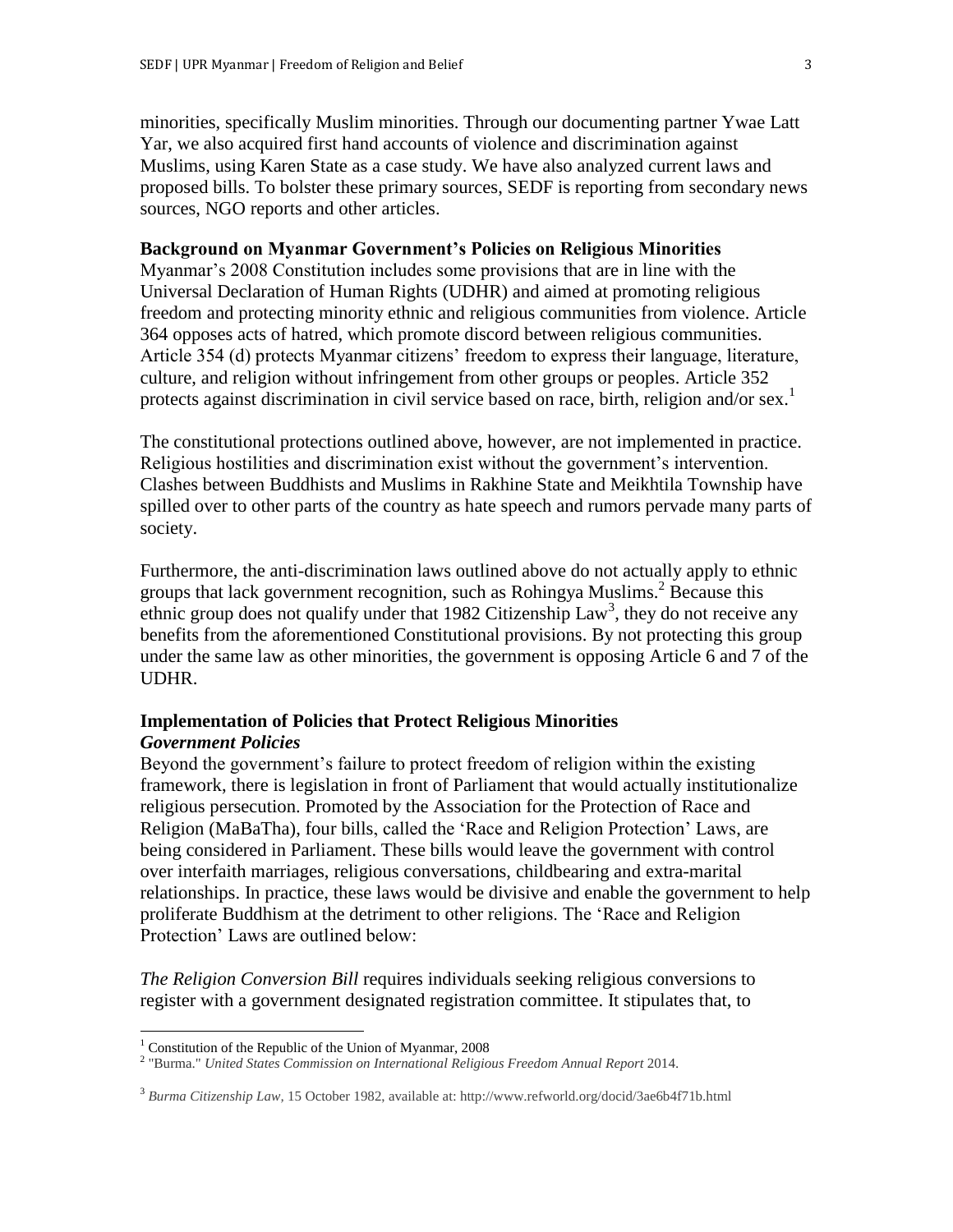minorities, specifically Muslim minorities. Through our documenting partner Ywae Latt Yar, we also acquired first hand accounts of violence and discrimination against Muslims, using Karen State as a case study. We have also analyzed current laws and proposed bills. To bolster these primary sources, SEDF is reporting from secondary news sources, NGO reports and other articles.

# **Background on Myanmar Government's Policies on Religious Minorities**

Myanmar's 2008 Constitution includes some provisions that are in line with the Universal Declaration of Human Rights (UDHR) and aimed at promoting religious freedom and protecting minority ethnic and religious communities from violence. Article 364 opposes acts of hatred, which promote discord between religious communities. Article 354 (d) protects Myanmar citizens' freedom to express their language, literature, culture, and religion without infringement from other groups or peoples. Article 352 protects against discrimination in civil service based on race, birth, religion and/or sex.<sup>1</sup>

The constitutional protections outlined above, however, are not implemented in practice. Religious hostilities and discrimination exist without the government's intervention. Clashes between Buddhists and Muslims in Rakhine State and Meikhtila Township have spilled over to other parts of the country as hate speech and rumors pervade many parts of society.

Furthermore, the anti-discrimination laws outlined above do not actually apply to ethnic groups that lack government recognition, such as Rohingya Muslims.<sup>2</sup> Because this ethnic group does not qualify under that 1982 Citizenship  $Law^3$ , they do not receive any benefits from the aforementioned Constitutional provisions. By not protecting this group under the same law as other minorities, the government is opposing Article 6 and 7 of the UDHR.

# **Implementation of Policies that Protect Religious Minorities** *Government Policies*

Beyond the government's failure to protect freedom of religion within the existing framework, there is legislation in front of Parliament that would actually institutionalize religious persecution. Promoted by the Association for the Protection of Race and Religion (MaBaTha), four bills, called the 'Race and Religion Protection' Laws, are being considered in Parliament. These bills would leave the government with control over interfaith marriages, religious conversations, childbearing and extra-marital relationships. In practice, these laws would be divisive and enable the government to help proliferate Buddhism at the detriment to other religions. The 'Race and Religion Protection' Laws are outlined below:

*The Religion Conversion Bill* requires individuals seeking religious conversions to register with a government designated registration committee. It stipulates that, to

 $\overline{a}$ 

<sup>&</sup>lt;sup>1</sup> Constitution of the Republic of the Union of Myanmar, 2008

<sup>2</sup> "Burma." *United States Commission on International Religious Freedom Annual Report* 2014.

<sup>3</sup> *Burma Citizenship Law,* 15 October 1982, available at: http://www.refworld.org/docid/3ae6b4f71b.html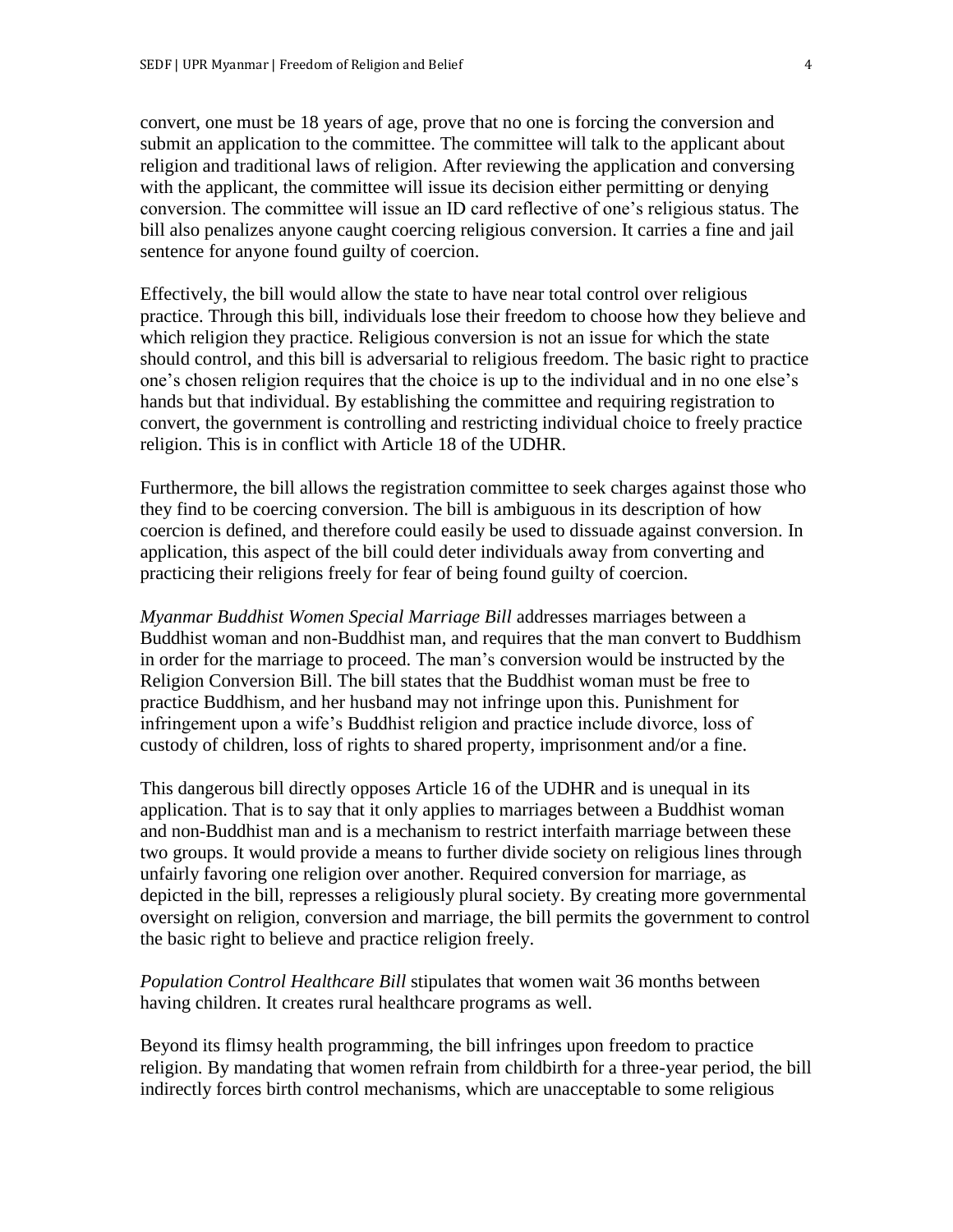convert, one must be 18 years of age, prove that no one is forcing the conversion and submit an application to the committee. The committee will talk to the applicant about religion and traditional laws of religion. After reviewing the application and conversing with the applicant, the committee will issue its decision either permitting or denying conversion. The committee will issue an ID card reflective of one's religious status. The bill also penalizes anyone caught coercing religious conversion. It carries a fine and jail sentence for anyone found guilty of coercion.

Effectively, the bill would allow the state to have near total control over religious practice. Through this bill, individuals lose their freedom to choose how they believe and which religion they practice. Religious conversion is not an issue for which the state should control, and this bill is adversarial to religious freedom. The basic right to practice one's chosen religion requires that the choice is up to the individual and in no one else's hands but that individual. By establishing the committee and requiring registration to convert, the government is controlling and restricting individual choice to freely practice religion. This is in conflict with Article 18 of the UDHR.

Furthermore, the bill allows the registration committee to seek charges against those who they find to be coercing conversion. The bill is ambiguous in its description of how coercion is defined, and therefore could easily be used to dissuade against conversion. In application, this aspect of the bill could deter individuals away from converting and practicing their religions freely for fear of being found guilty of coercion.

*Myanmar Buddhist Women Special Marriage Bill* addresses marriages between a Buddhist woman and non-Buddhist man, and requires that the man convert to Buddhism in order for the marriage to proceed. The man's conversion would be instructed by the Religion Conversion Bill. The bill states that the Buddhist woman must be free to practice Buddhism, and her husband may not infringe upon this. Punishment for infringement upon a wife's Buddhist religion and practice include divorce, loss of custody of children, loss of rights to shared property, imprisonment and/or a fine.

This dangerous bill directly opposes Article 16 of the UDHR and is unequal in its application. That is to say that it only applies to marriages between a Buddhist woman and non-Buddhist man and is a mechanism to restrict interfaith marriage between these two groups. It would provide a means to further divide society on religious lines through unfairly favoring one religion over another. Required conversion for marriage, as depicted in the bill, represses a religiously plural society. By creating more governmental oversight on religion, conversion and marriage, the bill permits the government to control the basic right to believe and practice religion freely.

*Population Control Healthcare Bill* stipulates that women wait 36 months between having children. It creates rural healthcare programs as well.

Beyond its flimsy health programming, the bill infringes upon freedom to practice religion. By mandating that women refrain from childbirth for a three-year period, the bill indirectly forces birth control mechanisms, which are unacceptable to some religious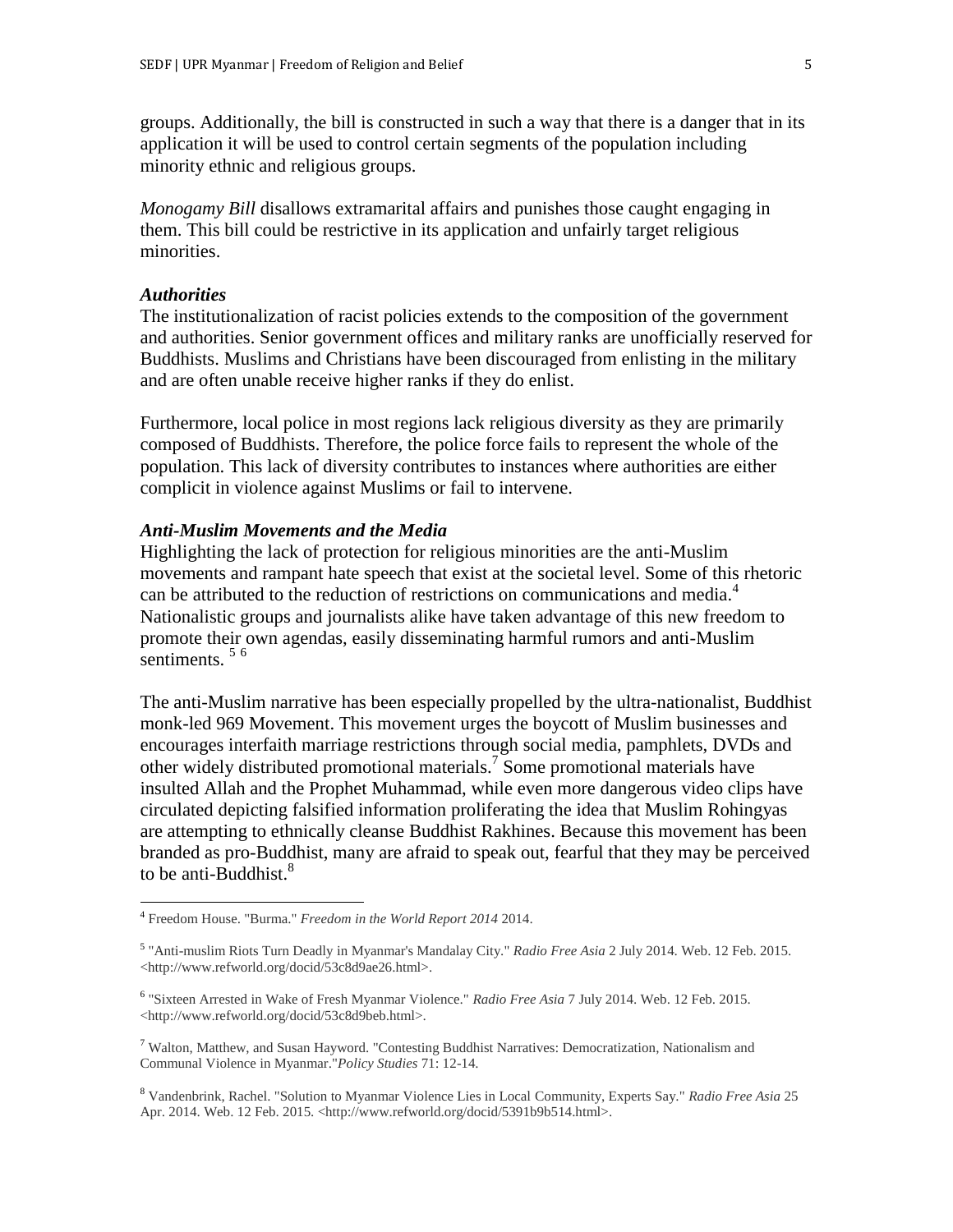groups. Additionally, the bill is constructed in such a way that there is a danger that in its application it will be used to control certain segments of the population including minority ethnic and religious groups.

*Monogamy Bill* disallows extramarital affairs and punishes those caught engaging in them. This bill could be restrictive in its application and unfairly target religious minorities.

#### *Authorities*

 $\overline{a}$ 

The institutionalization of racist policies extends to the composition of the government and authorities. Senior government offices and military ranks are unofficially reserved for Buddhists. Muslims and Christians have been discouraged from enlisting in the military and are often unable receive higher ranks if they do enlist.

Furthermore, local police in most regions lack religious diversity as they are primarily composed of Buddhists. Therefore, the police force fails to represent the whole of the population. This lack of diversity contributes to instances where authorities are either complicit in violence against Muslims or fail to intervene.

#### *Anti-Muslim Movements and the Media*

Highlighting the lack of protection for religious minorities are the anti-Muslim movements and rampant hate speech that exist at the societal level. Some of this rhetoric can be attributed to the reduction of restrictions on communications and media.<sup>4</sup> Nationalistic groups and journalists alike have taken advantage of this new freedom to promote their own agendas, easily disseminating harmful rumors and anti-Muslim sentiments.<sup>56</sup>

The anti-Muslim narrative has been especially propelled by the ultra-nationalist, Buddhist monk-led 969 Movement. This movement urges the boycott of Muslim businesses and encourages interfaith marriage restrictions through social media, pamphlets, DVDs and other widely distributed promotional materials.<sup>7</sup> Some promotional materials have insulted Allah and the Prophet Muhammad, while even more dangerous video clips have circulated depicting falsified information proliferating the idea that Muslim Rohingyas are attempting to ethnically cleanse Buddhist Rakhines. Because this movement has been branded as pro-Buddhist, many are afraid to speak out, fearful that they may be perceived to be anti-Buddhist. $8$ 

<sup>4</sup> Freedom House. "Burma." *Freedom in the World Report 2014* 2014.

<sup>5</sup> "Anti-muslim Riots Turn Deadly in Myanmar's Mandalay City." *Radio Free Asia* 2 July 2014. Web. 12 Feb. 2015. <http://www.refworld.org/docid/53c8d9ae26.html>.

<sup>6</sup> "Sixteen Arrested in Wake of Fresh Myanmar Violence." *Radio Free Asia* 7 July 2014. Web. 12 Feb. 2015. <http://www.refworld.org/docid/53c8d9beb.html>.

<sup>&</sup>lt;sup>7</sup> Walton, Matthew, and Susan Hayword. "Contesting Buddhist Narratives: Democratization, Nationalism and Communal Violence in Myanmar."*Policy Studies* 71: 12-14.

<sup>8</sup> Vandenbrink, Rachel. "Solution to Myanmar Violence Lies in Local Community, Experts Say." *Radio Free Asia* 25 Apr. 2014. Web. 12 Feb. 2015. <http://www.refworld.org/docid/5391b9b514.html>.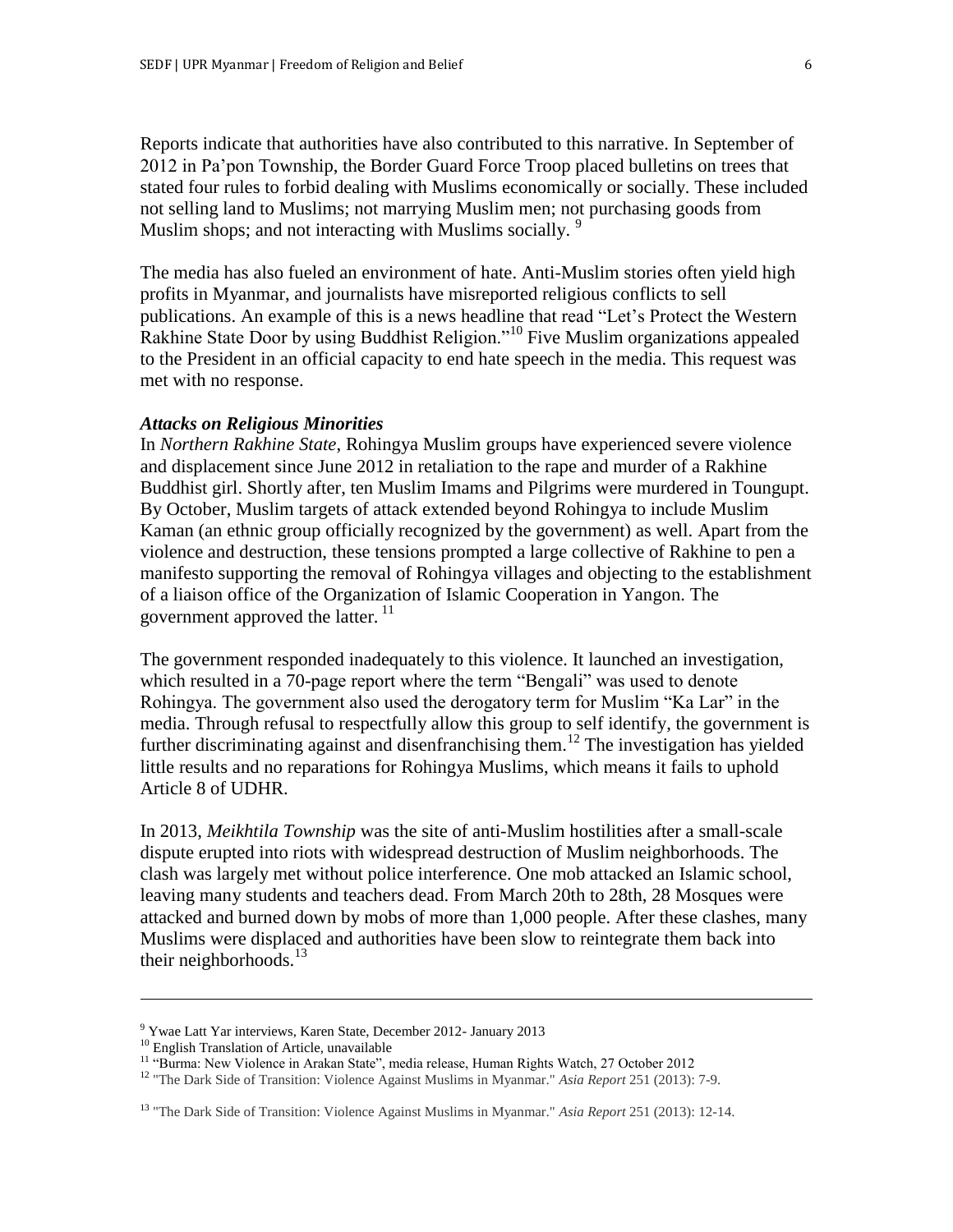Reports indicate that authorities have also contributed to this narrative. In September of 2012 in Pa'pon Township, the Border Guard Force Troop placed bulletins on trees that stated four rules to forbid dealing with Muslims economically or socially. These included not selling land to Muslims; not marrying Muslim men; not purchasing goods from Muslim shops; and not interacting with Muslims socially. <sup>9</sup>

The media has also fueled an environment of hate. Anti-Muslim stories often yield high profits in Myanmar, and journalists have misreported religious conflicts to sell publications. An example of this is a news headline that read "Let's Protect the Western Rakhine State Door by using Buddhist Religion."<sup>10</sup> Five Muslim organizations appealed to the President in an official capacity to end hate speech in the media. This request was met with no response.

#### *Attacks on Religious Minorities*

In *Northern Rakhine State*, Rohingya Muslim groups have experienced severe violence and displacement since June 2012 in retaliation to the rape and murder of a Rakhine Buddhist girl. Shortly after, ten Muslim Imams and Pilgrims were murdered in Toungupt. By October, Muslim targets of attack extended beyond Rohingya to include Muslim Kaman (an ethnic group officially recognized by the government) as well. Apart from the violence and destruction, these tensions prompted a large collective of Rakhine to pen a manifesto supporting the removal of Rohingya villages and objecting to the establishment of a liaison office of the Organization of Islamic Cooperation in Yangon. The government approved the latter.<sup>11</sup>

The government responded inadequately to this violence. It launched an investigation, which resulted in a 70-page report where the term "Bengali" was used to denote Rohingya. The government also used the derogatory term for Muslim "Ka Lar" in the media. Through refusal to respectfully allow this group to self identify, the government is further discriminating against and disenfranchising them.<sup>12</sup> The investigation has yielded little results and no reparations for Rohingya Muslims, which means it fails to uphold Article 8 of UDHR.

In 2013, *Meikhtila Township* was the site of anti-Muslim hostilities after a small-scale dispute erupted into riots with widespread destruction of Muslim neighborhoods. The clash was largely met without police interference. One mob attacked an Islamic school, leaving many students and teachers dead. From March 20th to 28th, 28 Mosques were attacked and burned down by mobs of more than 1,000 people. After these clashes, many Muslims were displaced and authorities have been slow to reintegrate them back into their neighborhoods. $^{13}$ 

 $\overline{a}$ 

<sup>9</sup> Ywae Latt Yar interviews, Karen State, December 2012- January 2013

<sup>&</sup>lt;sup>10</sup> English Translation of Article, unavailable

<sup>&</sup>lt;sup>11</sup> "Burma: New Violence in Arakan State", media release, Human Rights Watch, 27 October 2012

<sup>12</sup> "The Dark Side of Transition: Violence Against Muslims in Myanmar." *Asia Report* 251 (2013): 7-9.

<sup>13</sup> "The Dark Side of Transition: Violence Against Muslims in Myanmar." *Asia Report* 251 (2013): 12-14.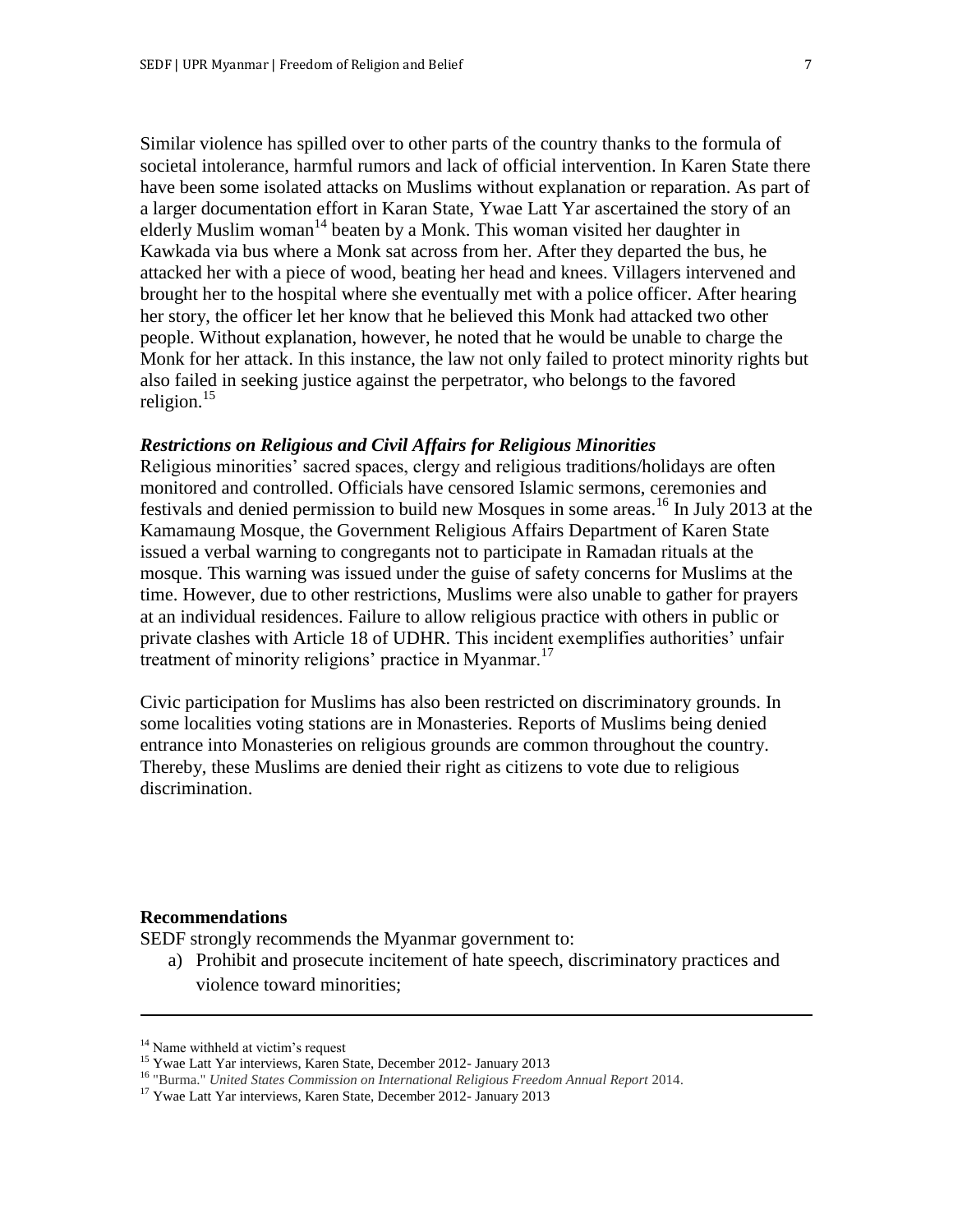Similar violence has spilled over to other parts of the country thanks to the formula of societal intolerance, harmful rumors and lack of official intervention. In Karen State there have been some isolated attacks on Muslims without explanation or reparation. As part of a larger documentation effort in Karan State, Ywae Latt Yar ascertained the story of an elderly Muslim woman<sup>14</sup> beaten by a Monk. This woman visited her daughter in Kawkada via bus where a Monk sat across from her. After they departed the bus, he attacked her with a piece of wood, beating her head and knees. Villagers intervened and brought her to the hospital where she eventually met with a police officer. After hearing her story, the officer let her know that he believed this Monk had attacked two other people. Without explanation, however, he noted that he would be unable to charge the Monk for her attack. In this instance, the law not only failed to protect minority rights but also failed in seeking justice against the perpetrator, who belongs to the favored religion. 15

### *Restrictions on Religious and Civil Affairs for Religious Minorities*

Religious minorities' sacred spaces, clergy and religious traditions/holidays are often monitored and controlled. Officials have censored Islamic sermons, ceremonies and festivals and denied permission to build new Mosques in some areas.<sup>16</sup> In July 2013 at the Kamamaung Mosque, the Government Religious Affairs Department of Karen State issued a verbal warning to congregants not to participate in Ramadan rituals at the mosque. This warning was issued under the guise of safety concerns for Muslims at the time. However, due to other restrictions, Muslims were also unable to gather for prayers at an individual residences. Failure to allow religious practice with others in public or private clashes with Article 18 of UDHR. This incident exemplifies authorities' unfair treatment of minority religions' practice in Myanmar.<sup>17</sup>

Civic participation for Muslims has also been restricted on discriminatory grounds. In some localities voting stations are in Monasteries. Reports of Muslims being denied entrance into Monasteries on religious grounds are common throughout the country. Thereby, these Muslims are denied their right as citizens to vote due to religious discrimination.

#### **Recommendations**

 $\overline{a}$ 

SEDF strongly recommends the Myanmar government to:

a) Prohibit and prosecute incitement of hate speech, discriminatory practices and violence toward minorities;

<sup>&</sup>lt;sup>14</sup> Name withheld at victim's request

<sup>&</sup>lt;sup>15</sup> Ywae Latt Yar interviews, Karen State, December 2012- January 2013

<sup>16</sup> "Burma." *United States Commission on International Religious Freedom Annual Report* 2014.

<sup>&</sup>lt;sup>17</sup> Ywae Latt Yar interviews, Karen State, December 2012- January 2013